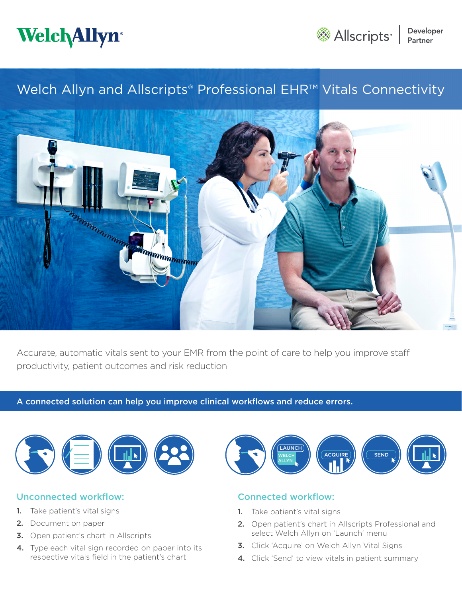



# Welch Allyn and Allscripts® Professional EHR™ Vitals Connectivity



Accurate, automatic vitals sent to your EMR from the point of care to help you improve staff productivity, patient outcomes and risk reduction

### A connected solution can help you improve clinical workflows and reduce errors.



# Unconnected workflow:

- 1. Take patient's vital signs
- 2. Document on paper
- **3.** Open patient's chart in Allscripts
- 4. Type each vital sign recorded on paper into its respective vitals field in the patient's chart



# Connected workflow:

- 1. Take patient's vital signs
- 2. Open patient's chart in Allscripts Professional and select Welch Allyn on 'Launch' menu
- 3. Click 'Acquire' on Welch Allyn Vital Signs
- 4. Click 'Send' to view vitals in patient summary